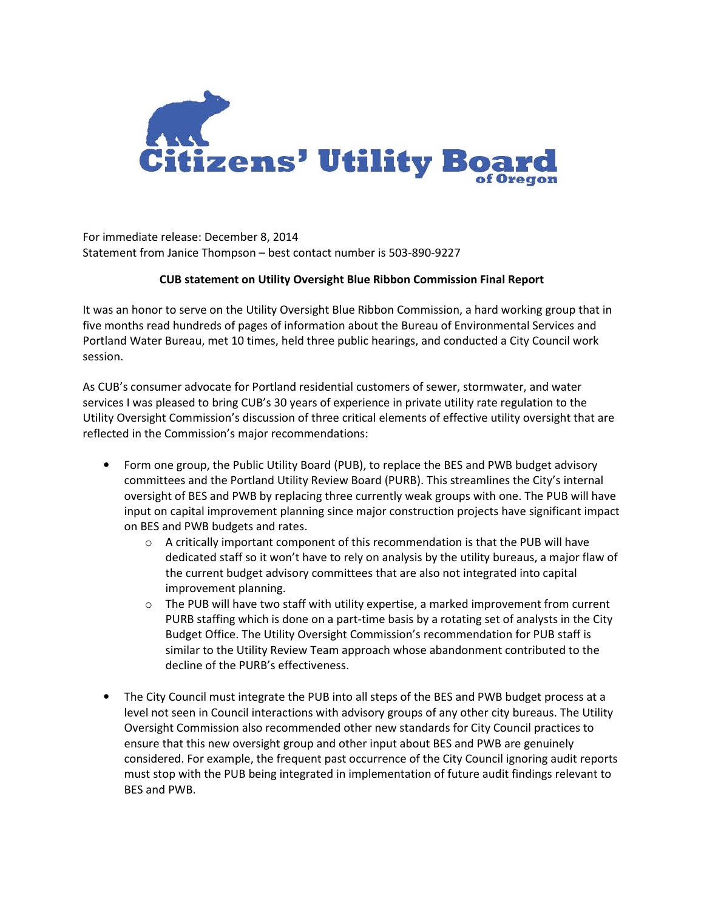

For immediate release: December 8, 2014 Statement from Janice Thompson – best contact number is 503-890-9227

## **CUB statement on Utility Oversight Blue Ribbon Commission Final Report**

It was an honor to serve on the Utility Oversight Blue Ribbon Commission, a hard working group that in five months read hundreds of pages of information about the Bureau of Environmental Services and Portland Water Bureau, met 10 times, held three public hearings, and conducted a City Council work session.

As CUB's consumer advocate for Portland residential customers of sewer, stormwater, and water services I was pleased to bring CUB's 30 years of experience in private utility rate regulation to the Utility Oversight Commission's discussion of three critical elements of effective utility oversight that are reflected in the Commission's major recommendations:

- Form one group, the Public Utility Board (PUB), to replace the BES and PWB budget advisory committees and the Portland Utility Review Board (PURB). This streamlines the City's internal oversight of BES and PWB by replacing three currently weak groups with one. The PUB will have input on capital improvement planning since major construction projects have significant impact on BES and PWB budgets and rates.
	- $\circ$  A critically important component of this recommendation is that the PUB will have dedicated staff so it won't have to rely on analysis by the utility bureaus, a major flaw of the current budget advisory committees that are also not integrated into capital improvement planning.
	- o The PUB will have two staff with utility expertise, a marked improvement from current PURB staffing which is done on a part-time basis by a rotating set of analysts in the City Budget Office. The Utility Oversight Commission's recommendation for PUB staff is similar to the Utility Review Team approach whose abandonment contributed to the decline of the PURB's effectiveness.
- The City Council must integrate the PUB into all steps of the BES and PWB budget process at a level not seen in Council interactions with advisory groups of any other city bureaus. The Utility Oversight Commission also recommended other new standards for City Council practices to ensure that this new oversight group and other input about BES and PWB are genuinely considered. For example, the frequent past occurrence of the City Council ignoring audit reports must stop with the PUB being integrated in implementation of future audit findings relevant to BES and PWB.